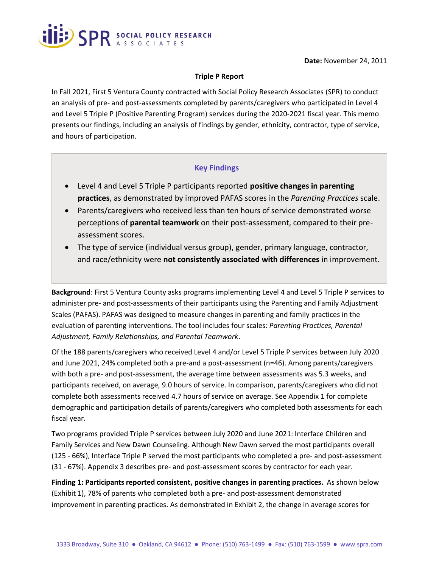

#### **Triple P Report**

In Fall 2021, First 5 Ventura County contracted with Social Policy Research Associates (SPR) to conduct an analysis of pre- and post-assessments completed by parents/caregivers who participated in Level 4 and Level 5 Triple P (Positive Parenting Program) services during the 2020-2021 fiscal year. This memo presents our findings, including an analysis of findings by gender, ethnicity, contractor, type of service, and hours of participation.

### **Key Findings**

- Level 4 and Level 5 Triple P participants reported **positive changes in parenting practices**, as demonstrated by improved PAFAS scores in the *Parenting Practices* scale.
- Parents/caregivers who received less than ten hours of service demonstrated worse perceptions of **parental teamwork** on their post-assessment, compared to their preassessment scores.
- The type of service (individual versus group), gender, primary language, contractor, and race/ethnicity were **not consistently associated with differences** in improvement.

**Background**: First 5 Ventura County asks programs implementing Level 4 and Level 5 Triple P services to administer pre- and post-assessments of their participants using the Parenting and Family Adjustment Scales (PAFAS). PAFAS was designed to measure changes in parenting and family practices in the evaluation of parenting interventions. The tool includes four scales: *Parenting Practices, Parental Adjustment, Family Relationships, and Parental Teamwork*.

Of the 188 parents/caregivers who received Level 4 and/or Level 5 Triple P services between July 2020 and June 2021, 24% completed both a pre-and a post-assessment (n=46). Among parents/caregivers with both a pre- and post-assessment, the average time between assessments was 5.3 weeks, and participants received, on average, 9.0 hours of service. In comparison, parents/caregivers who did not complete both assessments received 4.7 hours of service on average. See Appendix 1 for complete demographic and participation details of parents/caregivers who completed both assessments for each fiscal year.

Two programs provided Triple P services between July 2020 and June 2021: Interface Children and Family Services and New Dawn Counseling. Although New Dawn served the most participants overall (125 - 66%), Interface Triple P served the most participants who completed a pre- and post-assessment (31 - 67%). Appendix 3 describes pre- and post-assessment scores by contractor for each year.

**Finding 1: Participants reported consistent, positive changes in parenting practices.** As shown below (Exhibit 1), 78% of parents who completed both a pre- and post-assessment demonstrated improvement in parenting practices. As demonstrated in Exhibit 2, the change in average scores for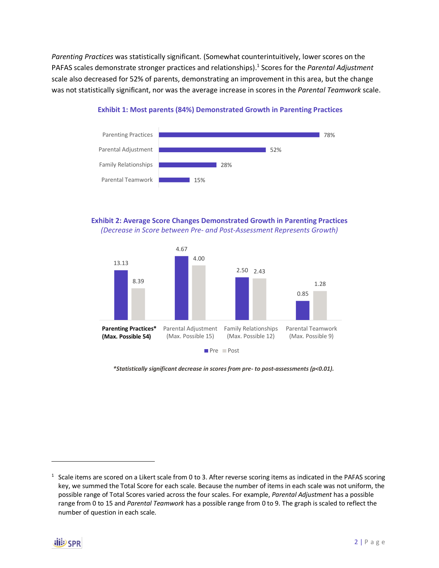*Parenting Practices* was statistically significant. (Somewhat counterintuitively, lower scores on the PAFAS scales demonstrate stronger practices and relationships). 1 Scores for the *Parental Adjustment* scale also decreased for 52% of parents, demonstrating an improvement in this area, but the change was not statistically significant, nor was the average increase in scores in the *Parental Teamwork* scale.



#### **Exhibit 1: Most parents (84%) Demonstrated Growth in Parenting Practices**

#### **Exhibit 2: Average Score Changes Demonstrated Growth in Parenting Practices** *(Decrease in Score between Pre- and Post-Assessment Represents Growth)*



*\*Statistically significant decrease in scores from pre- to post-assessments (p<0.01).*

 $1$  Scale items are scored on a Likert scale from 0 to 3. After reverse scoring items as indicated in the PAFAS scoring key, we summed the Total Score for each scale. Because the number of items in each scale was not uniform, the possible range of Total Scores varied across the four scales. For example, *Parental Adjustment* has a possible range from 0 to 15 and *Parental Teamwork* has a possible range from 0 to 9. The graph is scaled to reflect the number of question in each scale.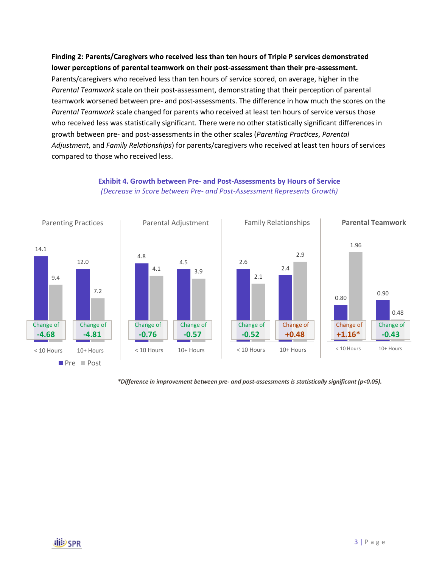**Finding 2: Parents/Caregivers who received less than ten hours of Triple P services demonstrated lower perceptions of parental teamwork on their post-assessment than their pre-assessment.**  Parents/caregivers who received less than ten hours of service scored, on average, higher in the *Parental Teamwork* scale on their post-assessment, demonstrating that their perception of parental teamwork worsened between pre- and post-assessments. The difference in how much the scores on the *Parental Teamwork* scale changed for parents who received at least ten hours of service versus those who received less was statistically significant. There were no other statistically significant differences in growth between pre- and post-assessments in the other scales (*Parenting Practices*, *Parental Adjustment*, and *Family Relationships*) for parents/caregivers who received at least ten hours of services compared to those who received less.



#### **Exhibit 4. Growth between Pre- and Post-Assessments by Hours of Service** *(Decrease in Score between Pre- and Post-Assessment Represents Growth)*

*\*Difference in improvement between pre- and post-assessments is statistically significant (p<0.05).*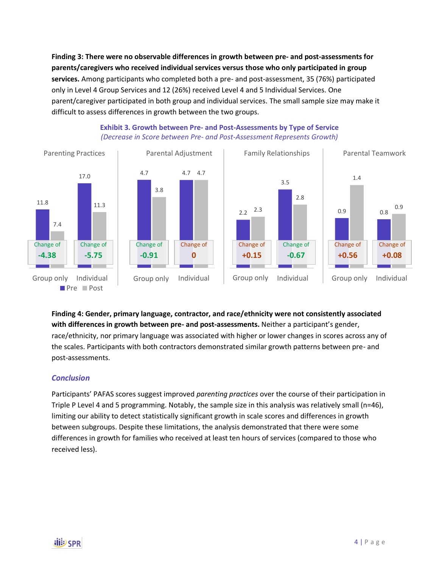**Finding 3: There were no observable differences in growth between pre- and post-assessments for parents/caregivers who received individual services versus those who only participated in group services.** Among participants who completed both a pre- and post-assessment, 35 (76%) participated only in Level 4 Group Services and 12 (26%) received Level 4 and 5 Individual Services. One parent/caregiver participated in both group and individual services. The small sample size may make it difficult to assess differences in growth between the two groups.



### **Exhibit 3. Growth between Pre- and Post-Assessments by Type of Service** *(Decrease in Score between Pre- and Post-Assessment Represents Growth)*

# **Finding 4: Gender, primary language, contractor, and race/ethnicity were not consistently associated with differences in growth between pre- and post-assessments.** Neither a participant's gender,

race/ethnicity, nor primary language was associated with higher or lower changes in scores across any of the scales. Participants with both contractors demonstrated similar growth patterns between pre- and post-assessments.

# *Conclusion*

Participants' PAFAS scores suggest improved *parenting practices* over the course of their participation in Triple P Level 4 and 5 programming. Notably, the sample size in this analysis was relatively small (n=46), limiting our ability to detect statistically significant growth in scale scores and differences in growth between subgroups. Despite these limitations, the analysis demonstrated that there were some differences in growth for families who received at least ten hours of services (compared to those who received less).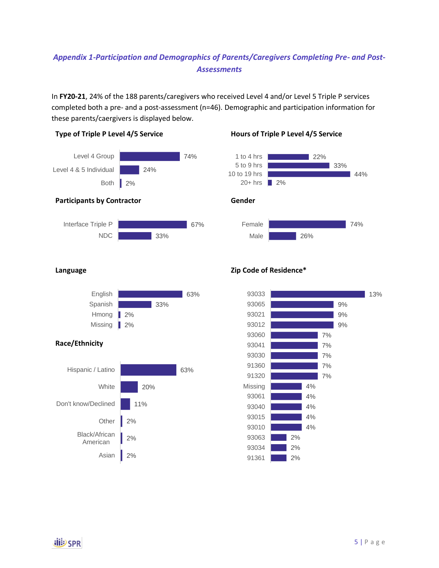# *Appendix 1-Participation and Demographics of Parents/Caregivers Completing Pre- and Post-Assessments*

In **FY20-21**, 24% of the 188 parents/caregivers who received Level 4 and/or Level 5 Triple P services completed both a pre- and a post-assessment (n=46). Demographic and participation information for these parents/caergivers is displayed below.



### **Type of Triple P Level 4/5 Service Hours of Triple P Level 4/5 Service**





### **Race/Ethnicity**



# **Zip Code of Residence\***